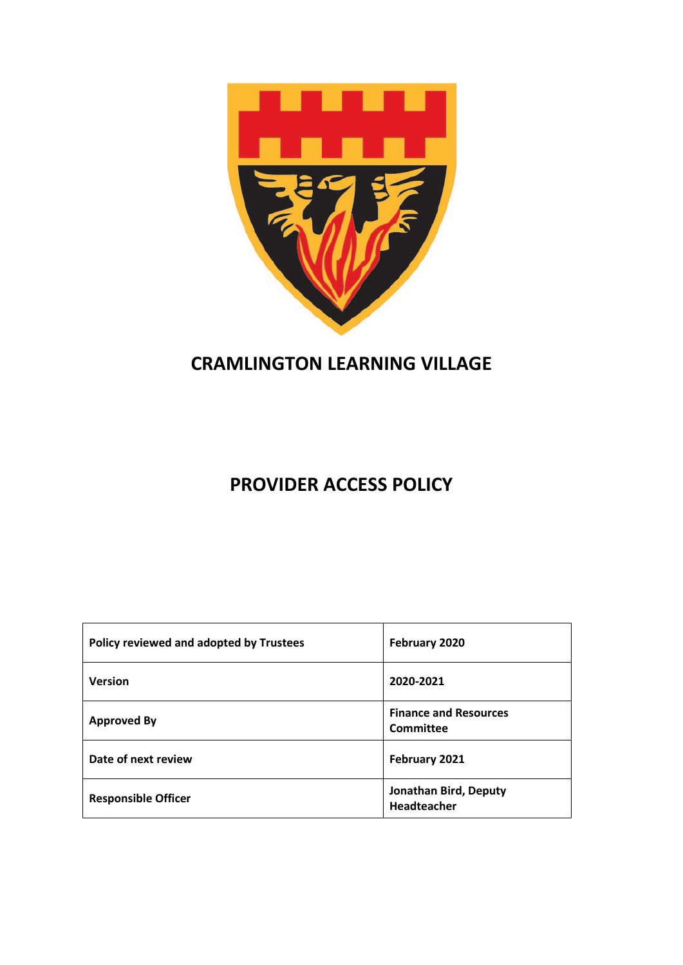

# **CRAMLINGTON LEARNING VILLAGE**

# **PROVIDER ACCESS POLICY**

| Policy reviewed and adopted by Trustees | February 2020                             |
|-----------------------------------------|-------------------------------------------|
| <b>Version</b>                          | 2020-2021                                 |
| <b>Approved By</b>                      | <b>Finance and Resources</b><br>Committee |
| Date of next review                     | February 2021                             |
| <b>Responsible Officer</b>              | Jonathan Bird, Deputy<br>Headteacher      |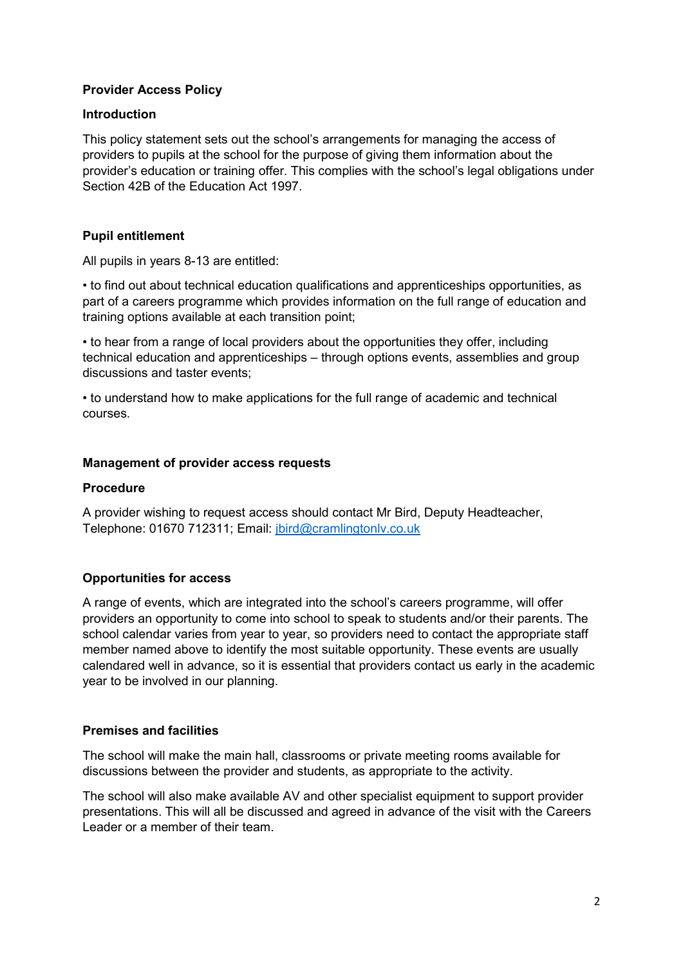# **Provider Access Policy**

## **Introduction**

This policy statement sets out the school's arrangements for managing the access of providers to pupils at the school for the purpose of giving them information about the provider's education or training offer. This complies with the school's legal obligations under Section 42B of the Education Act 1997.

# **Pupil entitlement**

All pupils in years 8-13 are entitled:

• to find out about technical education qualifications and apprenticeships opportunities, as part of a careers programme which provides information on the full range of education and training options available at each transition point;

• to hear from a range of local providers about the opportunities they offer, including technical education and apprenticeships – through options events, assemblies and group discussions and taster events;

• to understand how to make applications for the full range of academic and technical courses.

### **Management of provider access requests**

### **Procedure**

A provider wishing to request access should contact Mr Bird, Deputy Headteacher, Telephone: 01670 712311; Email: [jbird@cramlingtonlv.co.uk](mailto:jbird@cramlingtonlv.co.uk)

# **Opportunities for access**

A range of events, which are integrated into the school's careers programme, will offer providers an opportunity to come into school to speak to students and/or their parents. The school calendar varies from year to year, so providers need to contact the appropriate staff member named above to identify the most suitable opportunity. These events are usually calendared well in advance, so it is essential that providers contact us early in the academic year to be involved in our planning.

### **Premises and facilities**

The school will make the main hall, classrooms or private meeting rooms available for discussions between the provider and students, as appropriate to the activity.

The school will also make available AV and other specialist equipment to support provider presentations. This will all be discussed and agreed in advance of the visit with the Careers Leader or a member of their team.